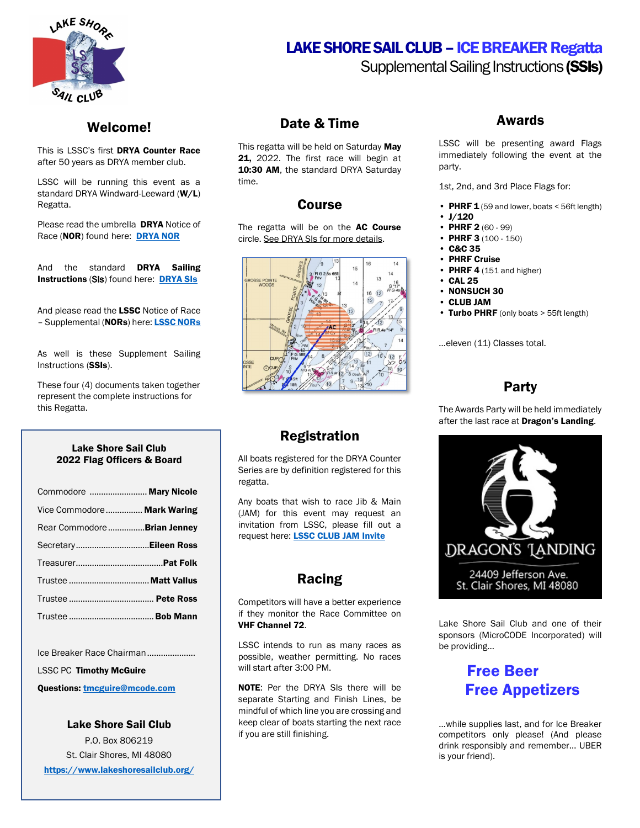

## Welcome!

This is LSSC's first DRYA Counter Race after 50 years as DRYA member club.

LSSC will be running this event as a standard DRYA Windward-Leeward (W/L) Regatta.

Please read the umbrella **DRYA** Notice of Race (NOR) found here: [DRYA NOR](https://www.drya.org/_files/ugd/13f5c6_1bc7a61910274741b3c7c93cf49fd275.pdf)

And the standard **DRYA Sailing** Instructions (SIs) found here: [DRYA SIs](https://www.drya.org/_files/ugd/13f5c6_b96e38ee3728402fabf6e809adb9e03b.pdf)

And please read the LSSC Notice of Race - Supplemental ([NORs](https://www.lakeshoresailclub.org/lssc-regatta)) here: **LSSC NORs** 

As well is these Supplement Sailing Instructions (SSIs).

These four (4) documents taken together represent the complete instructions for this Regatta.

#### Lake Shore Sail Club 2022 Flag Officers & Board

| Commodore  Mary Nicole      |  |
|-----------------------------|--|
| Vice Commodore Mark Waring  |  |
| Rear Commodore Brian Jenney |  |
|                             |  |
|                             |  |
|                             |  |
|                             |  |
|                             |  |

Ice Breaker Race Chairman....................

LSSC PC Timothy McGuire

Questions: [tmcguire@mcode.com](mailto:tmcguire@mcode.com)

Lake Shore Sail Club P.O. Box 806219 St. Clair Shores, MI 48080 <https://www.lakeshoresailclub.org/>

### Date & Time

This regatta will be held on Saturday May 21, 2022. The first race will begin at 10:30 AM, the standard DRYA Saturday time.

#### **Course**

The regatta will be on the AC Course circle. See DRYA SIs for more details.



## Registration

All boats registered for the DRYA Counter Series are by definition registered for this regatta.

Any boats that wish to race Jib & Main (JAM) for this event may request an invitation from LSSC, please fill out a request here: **LSSC CLUB JAM Invite** 

## Racing

Competitors will have a better experience if they monitor the Race Committee on VHF Channel 72.

LSSC intends to run as many races as possible, weather permitting. No races will start after 3:00 PM.

NOTE: Per the DRYA SIs there will be separate Starting and Finish Lines, be mindful of which line you are crossing and keep clear of boats starting the next race if you are still finishing.

# LAKE SHORE SAIL CLUB - ICE BREAKER Regatta

Supplemental Sailing Instructions (SSIs)

### Awards

LSSC will be presenting award Flags immediately following the event at the party.

1st, 2nd, and 3rd Place Flags for:

- PHRF  $1(59$  and lower, boats < 56ft length)
- J/120
- PHRF 2 (60 99) • PHRF 3 (100 - 150)
- C&C 35
- 
- PHRF Cruise
- PHRF 4 (151 and higher)
- CAL 25
- NONSUCH 30
- CLUB JAM
- Turbo PHRF (only boats > 55ft length)

…eleven (11) Classes total.

# Party

The Awards Party will be held immediately after the last race at Dragon's Landing.



Lake Shore Sail Club and one of their sponsors (MicroCODE Incorporated) will be providing…

# Free Beer Free Appetizers

…while supplies last, and for Ice Breaker competitors only please! (And please drink responsibly and remember… UBER is your friend).